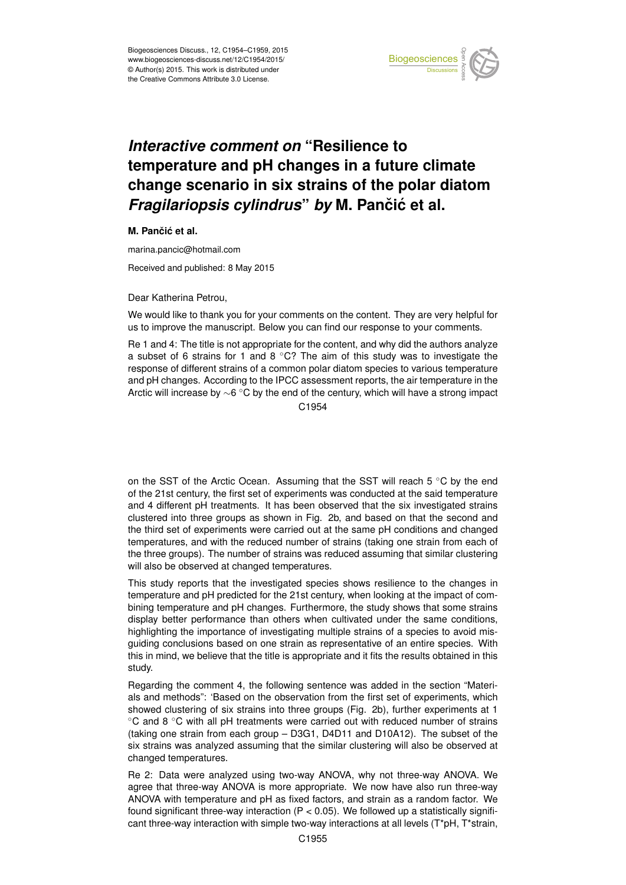

## *Interactive comment on* **"Resilience to temperature and pH changes in a future climate change scenario in six strains of the polar diatom** *Fragilariopsis cylindrus by* M. Pančić et al.

**M.** Pančić et al.

marina.pancic@hotmail.com

Received and published: 8 May 2015

Dear Katherina Petrou,

We would like to thank you for your comments on the content. They are very helpful for us to improve the manuscript. Below you can find our response to your comments.

Re 1 and 4: The title is not appropriate for the content, and why did the authors analyze a subset of 6 strains for 1 and 8  $\degree$ C? The aim of this study was to investigate the response of different strains of a common polar diatom species to various temperature and pH changes. According to the IPCC assessment reports, the air temperature in the Arctic will increase by ∼6 ◦C by the end of the century, which will have a strong impact C<sub>1954</sub>

on the SST of the Arctic Ocean. Assuming that the SST will reach 5 ◦C by the end of the 21st century, the first set of experiments was conducted at the said temperature and 4 different pH treatments. It has been observed that the six investigated strains clustered into three groups as shown in Fig. 2b, and based on that the second and the third set of experiments were carried out at the same pH conditions and changed temperatures, and with the reduced number of strains (taking one strain from each of the three groups). The number of strains was reduced assuming that similar clustering will also be observed at changed temperatures.

This study reports that the investigated species shows resilience to the changes in temperature and pH predicted for the 21st century, when looking at the impact of combining temperature and pH changes. Furthermore, the study shows that some strains display better performance than others when cultivated under the same conditions, highlighting the importance of investigating multiple strains of a species to avoid misguiding conclusions based on one strain as representative of an entire species. With this in mind, we believe that the title is appropriate and it fits the results obtained in this study.

Regarding the comment 4, the following sentence was added in the section "Materials and methods": 'Based on the observation from the first set of experiments, which showed clustering of six strains into three groups (Fig. 2b), further experiments at 1 ◦C and 8 ◦C with all pH treatments were carried out with reduced number of strains (taking one strain from each group – D3G1, D4D11 and D10A12). The subset of the six strains was analyzed assuming that the similar clustering will also be observed at changed temperatures.

Re 2: Data were analyzed using two-way ANOVA, why not three-way ANOVA. We agree that three-way ANOVA is more appropriate. We now have also run three-way ANOVA with temperature and pH as fixed factors, and strain as a random factor. We found significant three-way interaction ( $P < 0.05$ ). We followed up a statistically significant three-way interaction with simple two-way interactions at all levels (T\*pH, T\*strain,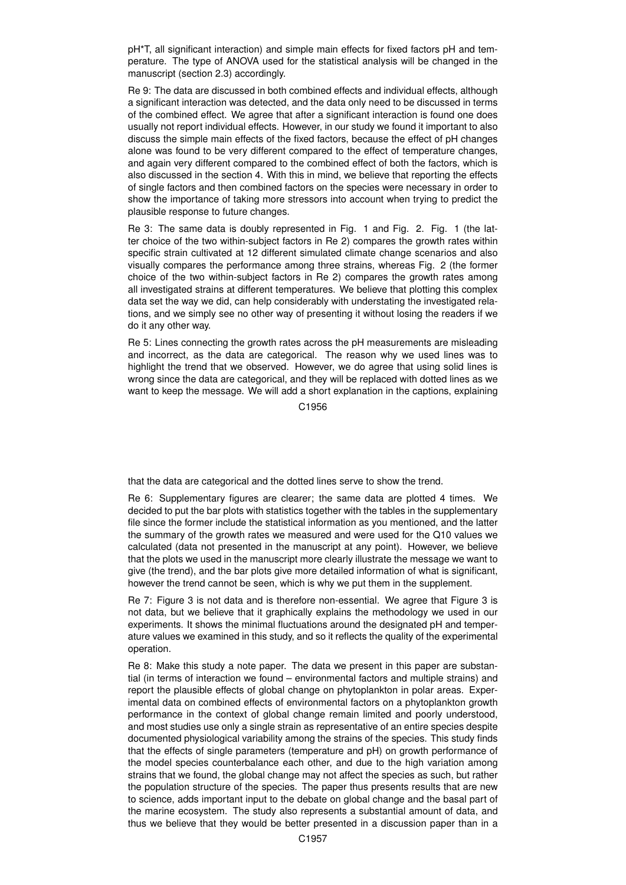pH\*T, all significant interaction) and simple main effects for fixed factors pH and temperature. The type of ANOVA used for the statistical analysis will be changed in the manuscript (section 2.3) accordingly.

Re 9: The data are discussed in both combined effects and individual effects, although a significant interaction was detected, and the data only need to be discussed in terms of the combined effect. We agree that after a significant interaction is found one does usually not report individual effects. However, in our study we found it important to also discuss the simple main effects of the fixed factors, because the effect of pH changes alone was found to be very different compared to the effect of temperature changes, and again very different compared to the combined effect of both the factors, which is also discussed in the section 4. With this in mind, we believe that reporting the effects of single factors and then combined factors on the species were necessary in order to show the importance of taking more stressors into account when trying to predict the plausible response to future changes.

Re 3: The same data is doubly represented in Fig. 1 and Fig. 2. Fig. 1 (the latter choice of the two within-subject factors in Re 2) compares the growth rates within specific strain cultivated at 12 different simulated climate change scenarios and also visually compares the performance among three strains, whereas Fig. 2 (the former choice of the two within-subject factors in Re 2) compares the growth rates among all investigated strains at different temperatures. We believe that plotting this complex data set the way we did, can help considerably with understating the investigated relations, and we simply see no other way of presenting it without losing the readers if we do it any other way.

Re 5: Lines connecting the growth rates across the pH measurements are misleading and incorrect, as the data are categorical. The reason why we used lines was to highlight the trend that we observed. However, we do agree that using solid lines is wrong since the data are categorical, and they will be replaced with dotted lines as we want to keep the message. We will add a short explanation in the captions, explaining

C1956

that the data are categorical and the dotted lines serve to show the trend.

Re 6: Supplementary figures are clearer; the same data are plotted 4 times. We decided to put the bar plots with statistics together with the tables in the supplementary file since the former include the statistical information as you mentioned, and the latter the summary of the growth rates we measured and were used for the Q10 values we calculated (data not presented in the manuscript at any point). However, we believe that the plots we used in the manuscript more clearly illustrate the message we want to give (the trend), and the bar plots give more detailed information of what is significant, however the trend cannot be seen, which is why we put them in the supplement.

Re 7: Figure 3 is not data and is therefore non-essential. We agree that Figure 3 is not data, but we believe that it graphically explains the methodology we used in our experiments. It shows the minimal fluctuations around the designated pH and temperature values we examined in this study, and so it reflects the quality of the experimental operation.

Re 8: Make this study a note paper. The data we present in this paper are substantial (in terms of interaction we found – environmental factors and multiple strains) and report the plausible effects of global change on phytoplankton in polar areas. Experimental data on combined effects of environmental factors on a phytoplankton growth performance in the context of global change remain limited and poorly understood, and most studies use only a single strain as representative of an entire species despite documented physiological variability among the strains of the species. This study finds that the effects of single parameters (temperature and pH) on growth performance of the model species counterbalance each other, and due to the high variation among strains that we found, the global change may not affect the species as such, but rather the population structure of the species. The paper thus presents results that are new to science, adds important input to the debate on global change and the basal part of the marine ecosystem. The study also represents a substantial amount of data, and thus we believe that they would be better presented in a discussion paper than in a